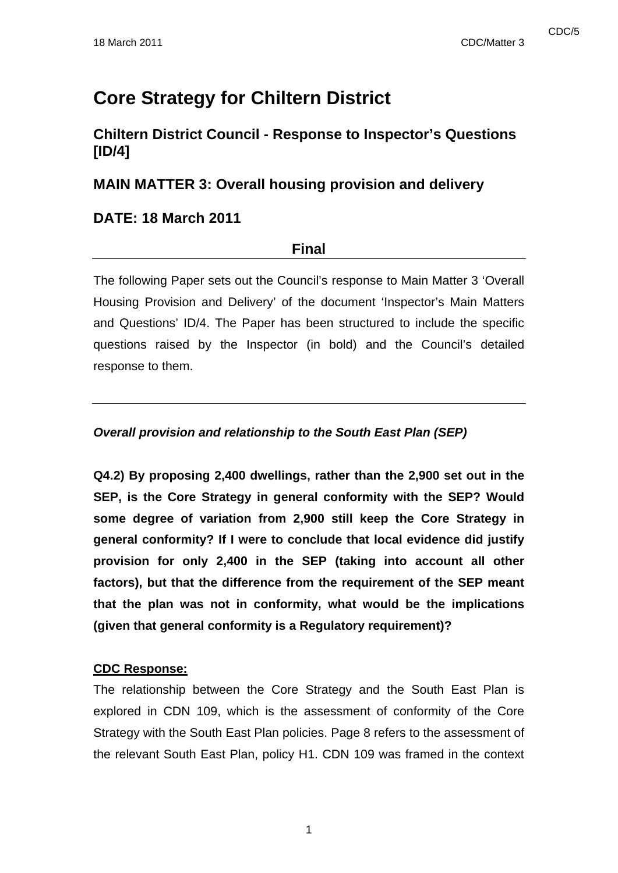# **Core Strategy for Chiltern District**

# **Chiltern District Council - Response to Inspector's Questions [ID/4]**

# **MAIN MATTER 3: Overall housing provision and delivery**

# **DATE: 18 March 2011**

### **Final**

The following Paper sets out the Council's response to Main Matter 3 'Overall Housing Provision and Delivery' of the document 'Inspector's Main Matters and Questions' ID/4. The Paper has been structured to include the specific questions raised by the Inspector (in bold) and the Council's detailed response to them.

### *Overall provision and relationship to the South East Plan (SEP)*

**Q4.2) By proposing 2,400 dwellings, rather than the 2,900 set out in the SEP, is the Core Strategy in general conformity with the SEP? Would some degree of variation from 2,900 still keep the Core Strategy in general conformity? If I were to conclude that local evidence did justify provision for only 2,400 in the SEP (taking into account all other factors), but that the difference from the requirement of the SEP meant that the plan was not in conformity, what would be the implications (given that general conformity is a Regulatory requirement)?** 

### **CDC Response:**

The relationship between the Core Strategy and the South East Plan is explored in CDN 109, which is the assessment of conformity of the Core Strategy with the South East Plan policies. Page 8 refers to the assessment of the relevant South East Plan, policy H1. CDN 109 was framed in the context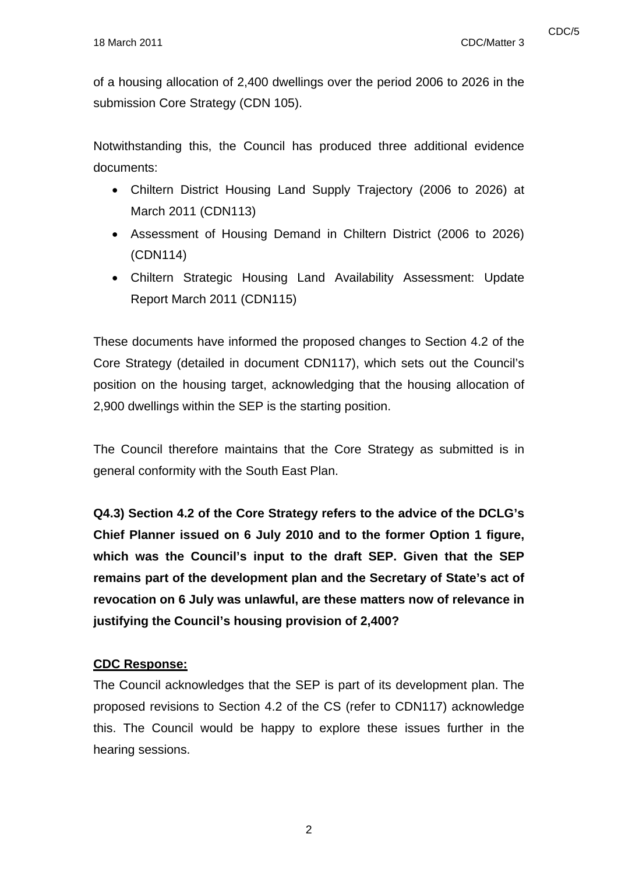of a housing allocation of 2,400 dwellings over the period 2006 to 2026 in the submission Core Strategy (CDN 105).

Notwithstanding this, the Council has produced three additional evidence documents:

- Chiltern District Housing Land Supply Trajectory (2006 to 2026) at March 2011 (CDN113)
- Assessment of Housing Demand in Chiltern District (2006 to 2026) (CDN114)
- Chiltern Strategic Housing Land Availability Assessment: Update Report March 2011 (CDN115)

These documents have informed the proposed changes to Section 4.2 of the Core Strategy (detailed in document CDN117), which sets out the Council's position on the housing target, acknowledging that the housing allocation of 2,900 dwellings within the SEP is the starting position.

The Council therefore maintains that the Core Strategy as submitted is in general conformity with the South East Plan.

**Q4.3) Section 4.2 of the Core Strategy refers to the advice of the DCLG's Chief Planner issued on 6 July 2010 and to the former Option 1 figure, which was the Council's input to the draft SEP. Given that the SEP remains part of the development plan and the Secretary of State's act of revocation on 6 July was unlawful, are these matters now of relevance in justifying the Council's housing provision of 2,400?** 

### **CDC Response:**

The Council acknowledges that the SEP is part of its development plan. The proposed revisions to Section 4.2 of the CS (refer to CDN117) acknowledge this. The Council would be happy to explore these issues further in the hearing sessions.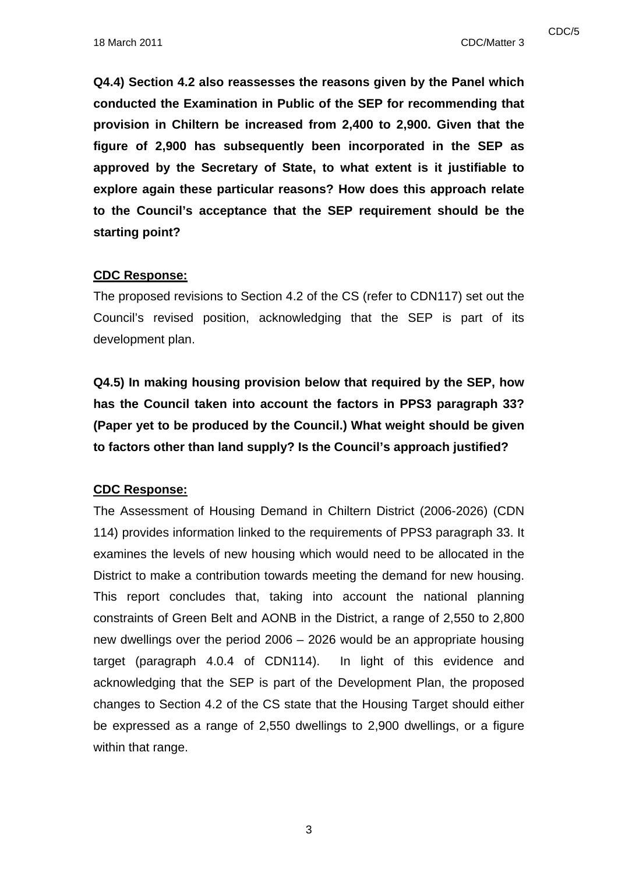**Q4.4) Section 4.2 also reassesses the reasons given by the Panel which conducted the Examination in Public of the SEP for recommending that provision in Chiltern be increased from 2,400 to 2,900. Given that the figure of 2,900 has subsequently been incorporated in the SEP as approved by the Secretary of State, to what extent is it justifiable to explore again these particular reasons? How does this approach relate to the Council's acceptance that the SEP requirement should be the starting point?** 

#### **CDC Response:**

The proposed revisions to Section 4.2 of the CS (refer to CDN117) set out the Council's revised position, acknowledging that the SEP is part of its development plan.

**Q4.5) In making housing provision below that required by the SEP, how has the Council taken into account the factors in PPS3 paragraph 33? (Paper yet to be produced by the Council.) What weight should be given to factors other than land supply? Is the Council's approach justified?** 

#### **CDC Response:**

The Assessment of Housing Demand in Chiltern District (2006-2026) (CDN 114) provides information linked to the requirements of PPS3 paragraph 33. It examines the levels of new housing which would need to be allocated in the District to make a contribution towards meeting the demand for new housing. This report concludes that, taking into account the national planning constraints of Green Belt and AONB in the District, a range of 2,550 to 2,800 new dwellings over the period 2006 – 2026 would be an appropriate housing target (paragraph 4.0.4 of CDN114). In light of this evidence and acknowledging that the SEP is part of the Development Plan, the proposed changes to Section 4.2 of the CS state that the Housing Target should either be expressed as a range of 2,550 dwellings to 2,900 dwellings, or a figure within that range.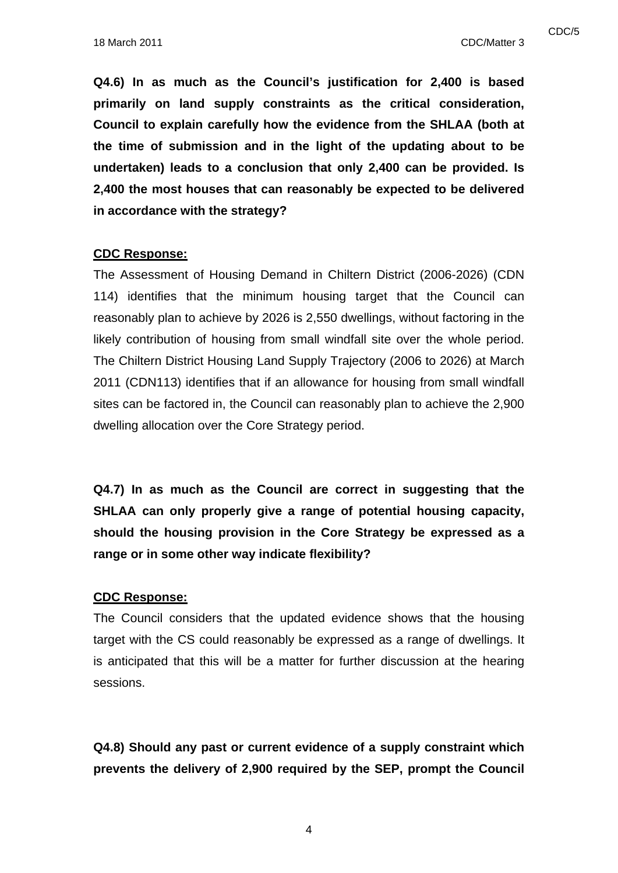18 March 2011 CDC/Matter 3

cDC/5 and the contract of the contract of the contract of the contract of the contract of the contract of the contract of the contract of the contract of the contract of the contract of the contract of the contract of the

**Q4.6) In as much as the Council's justification for 2,400 is based primarily on land supply constraints as the critical consideration, Council to explain carefully how the evidence from the SHLAA (both at the time of submission and in the light of the updating about to be undertaken) leads to a conclusion that only 2,400 can be provided. Is 2,400 the most houses that can reasonably be expected to be delivered in accordance with the strategy?** 

#### **CDC Response:**

The Assessment of Housing Demand in Chiltern District (2006-2026) (CDN 114) identifies that the minimum housing target that the Council can reasonably plan to achieve by 2026 is 2,550 dwellings, without factoring in the likely contribution of housing from small windfall site over the whole period. The Chiltern District Housing Land Supply Trajectory (2006 to 2026) at March 2011 (CDN113) identifies that if an allowance for housing from small windfall sites can be factored in, the Council can reasonably plan to achieve the 2,900 dwelling allocation over the Core Strategy period.

**Q4.7) In as much as the Council are correct in suggesting that the SHLAA can only properly give a range of potential housing capacity, should the housing provision in the Core Strategy be expressed as a range or in some other way indicate flexibility?** 

#### **CDC Response:**

The Council considers that the updated evidence shows that the housing target with the CS could reasonably be expressed as a range of dwellings. It is anticipated that this will be a matter for further discussion at the hearing sessions.

**Q4.8) Should any past or current evidence of a supply constraint which prevents the delivery of 2,900 required by the SEP, prompt the Council**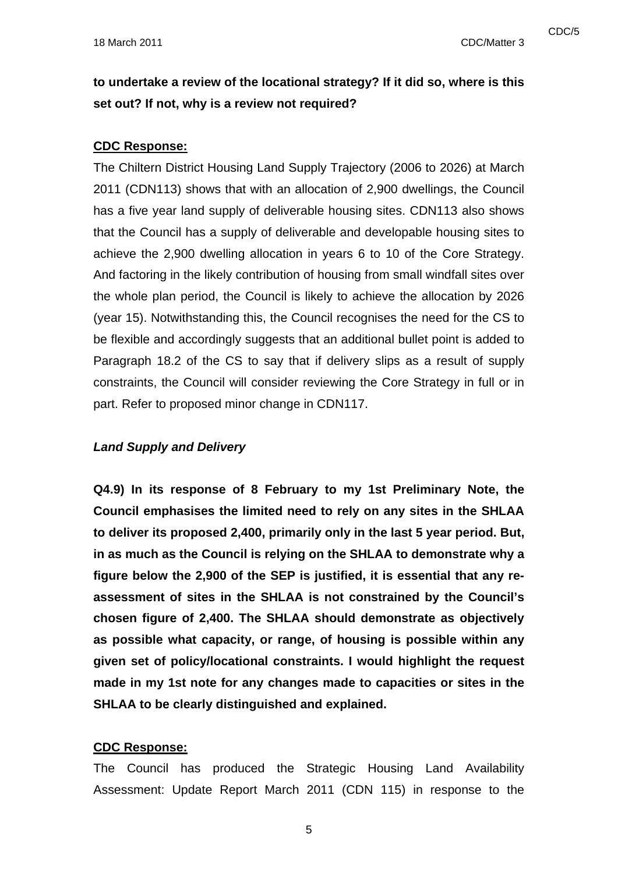**to undertake a review of the locational strategy? If it did so, where is this set out? If not, why is a review not required?** 

#### **CDC Response:**

The Chiltern District Housing Land Supply Trajectory (2006 to 2026) at March 2011 (CDN113) shows that with an allocation of 2,900 dwellings, the Council has a five year land supply of deliverable housing sites. CDN113 also shows that the Council has a supply of deliverable and developable housing sites to achieve the 2,900 dwelling allocation in years 6 to 10 of the Core Strategy. And factoring in the likely contribution of housing from small windfall sites over the whole plan period, the Council is likely to achieve the allocation by 2026 (year 15). Notwithstanding this, the Council recognises the need for the CS to be flexible and accordingly suggests that an additional bullet point is added to Paragraph 18.2 of the CS to say that if delivery slips as a result of supply constraints, the Council will consider reviewing the Core Strategy in full or in part. Refer to proposed minor change in CDN117.

#### *Land Supply and Delivery*

**Q4.9) In its response of 8 February to my 1st Preliminary Note, the Council emphasises the limited need to rely on any sites in the SHLAA to deliver its proposed 2,400, primarily only in the last 5 year period. But, in as much as the Council is relying on the SHLAA to demonstrate why a figure below the 2,900 of the SEP is justified, it is essential that any reassessment of sites in the SHLAA is not constrained by the Council's chosen figure of 2,400. The SHLAA should demonstrate as objectively as possible what capacity, or range, of housing is possible within any given set of policy/locational constraints. I would highlight the request made in my 1st note for any changes made to capacities or sites in the SHLAA to be clearly distinguished and explained.** 

#### **CDC Response:**

The Council has produced the Strategic Housing Land Availability Assessment: Update Report March 2011 (CDN 115) in response to the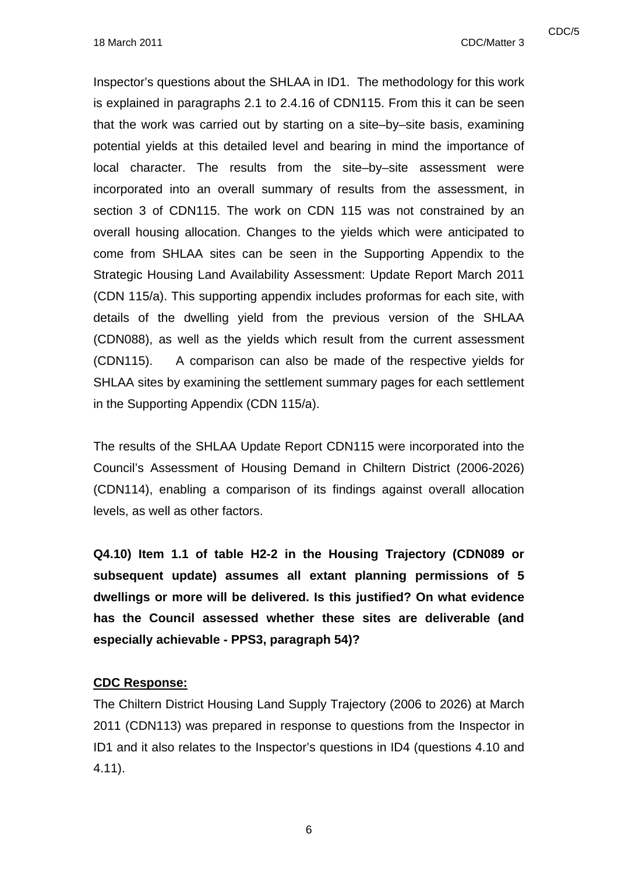Inspector's questions about the SHLAA in ID1. The methodology for this work is explained in paragraphs 2.1 to 2.4.16 of CDN115. From this it can be seen that the work was carried out by starting on a site–by–site basis, examining potential yields at this detailed level and bearing in mind the importance of local character. The results from the site–by–site assessment were incorporated into an overall summary of results from the assessment, in section 3 of CDN115. The work on CDN 115 was not constrained by an overall housing allocation. Changes to the yields which were anticipated to come from SHLAA sites can be seen in the Supporting Appendix to the Strategic Housing Land Availability Assessment: Update Report March 2011 (CDN 115/a). This supporting appendix includes proformas for each site, with details of the dwelling yield from the previous version of the SHLAA (CDN088), as well as the yields which result from the current assessment (CDN115). A comparison can also be made of the respective yields for SHLAA sites by examining the settlement summary pages for each settlement in the Supporting Appendix (CDN 115/a).

The results of the SHLAA Update Report CDN115 were incorporated into the Council's Assessment of Housing Demand in Chiltern District (2006-2026) (CDN114), enabling a comparison of its findings against overall allocation levels, as well as other factors.

**Q4.10) Item 1.1 of table H2-2 in the Housing Trajectory (CDN089 or subsequent update) assumes all extant planning permissions of 5 dwellings or more will be delivered. Is this justified? On what evidence has the Council assessed whether these sites are deliverable (and especially achievable - PPS3, paragraph 54)?** 

#### **CDC Response:**

The Chiltern District Housing Land Supply Trajectory (2006 to 2026) at March 2011 (CDN113) was prepared in response to questions from the Inspector in ID1 and it also relates to the Inspector's questions in ID4 (questions 4.10 and 4.11).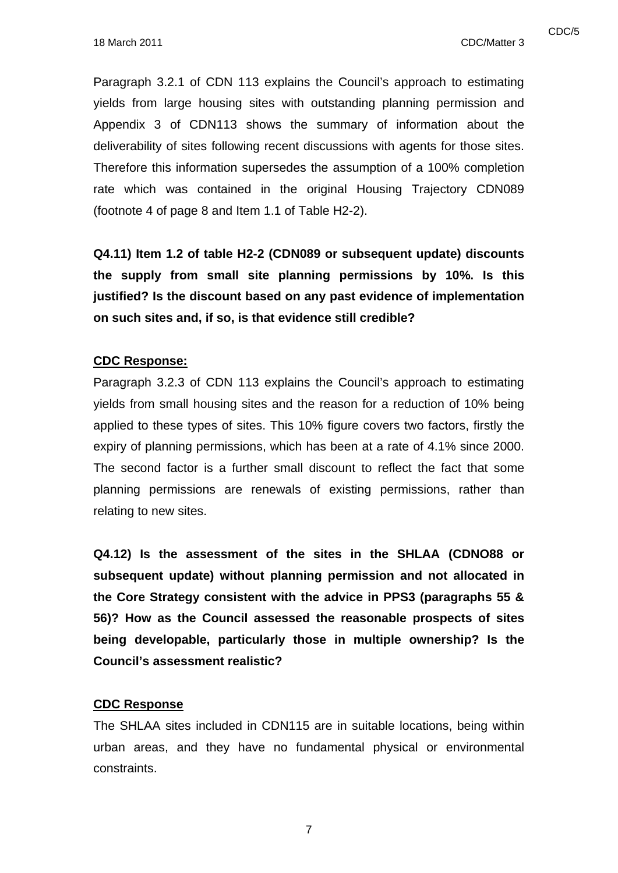Paragraph 3.2.1 of CDN 113 explains the Council's approach to estimating yields from large housing sites with outstanding planning permission and Appendix 3 of CDN113 shows the summary of information about the deliverability of sites following recent discussions with agents for those sites. Therefore this information supersedes the assumption of a 100% completion rate which was contained in the original Housing Trajectory CDN089 (footnote 4 of page 8 and Item 1.1 of Table H2-2).

**Q4.11) Item 1.2 of table H2-2 (CDN089 or subsequent update) discounts the supply from small site planning permissions by 10%. Is this justified? Is the discount based on any past evidence of implementation on such sites and, if so, is that evidence still credible?** 

#### **CDC Response:**

Paragraph 3.2.3 of CDN 113 explains the Council's approach to estimating yields from small housing sites and the reason for a reduction of 10% being applied to these types of sites. This 10% figure covers two factors, firstly the expiry of planning permissions, which has been at a rate of 4.1% since 2000. The second factor is a further small discount to reflect the fact that some planning permissions are renewals of existing permissions, rather than relating to new sites.

**Q4.12) Is the assessment of the sites in the SHLAA (CDNO88 or subsequent update) without planning permission and not allocated in the Core Strategy consistent with the advice in PPS3 (paragraphs 55 & 56)? How as the Council assessed the reasonable prospects of sites being developable, particularly those in multiple ownership? Is the Council's assessment realistic?** 

#### **CDC Response**

The SHLAA sites included in CDN115 are in suitable locations, being within urban areas, and they have no fundamental physical or environmental constraints.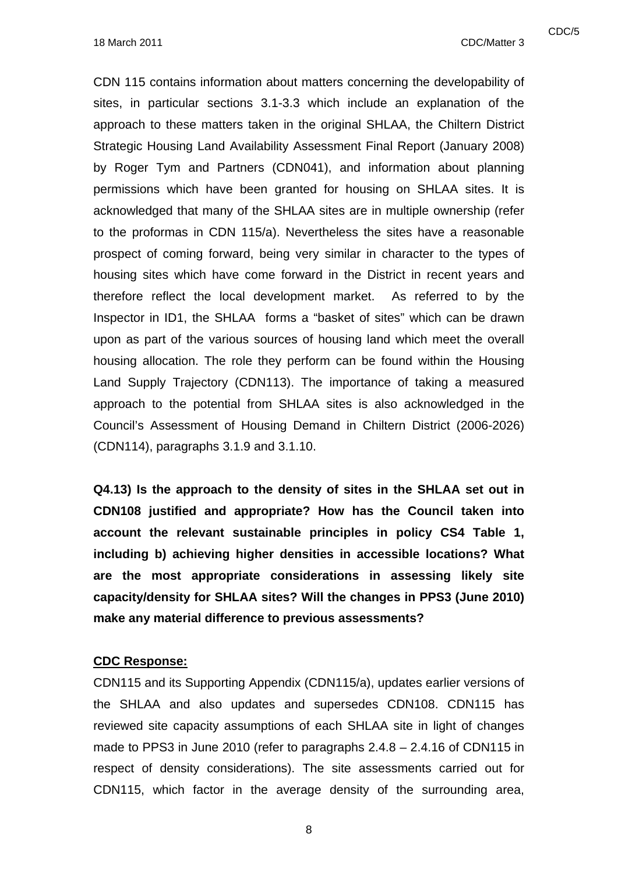CDN 115 contains information about matters concerning the developability of sites, in particular sections 3.1-3.3 which include an explanation of the approach to these matters taken in the original SHLAA, the Chiltern District Strategic Housing Land Availability Assessment Final Report (January 2008) by Roger Tym and Partners (CDN041), and information about planning permissions which have been granted for housing on SHLAA sites. It is acknowledged that many of the SHLAA sites are in multiple ownership (refer to the proformas in CDN 115/a). Nevertheless the sites have a reasonable prospect of coming forward, being very similar in character to the types of housing sites which have come forward in the District in recent years and therefore reflect the local development market. As referred to by the Inspector in ID1, the SHLAA forms a "basket of sites" which can be drawn upon as part of the various sources of housing land which meet the overall housing allocation. The role they perform can be found within the Housing Land Supply Trajectory (CDN113). The importance of taking a measured approach to the potential from SHLAA sites is also acknowledged in the Council's Assessment of Housing Demand in Chiltern District (2006-2026) (CDN114), paragraphs 3.1.9 and 3.1.10.

**Q4.13) Is the approach to the density of sites in the SHLAA set out in CDN108 justified and appropriate? How has the Council taken into account the relevant sustainable principles in policy CS4 Table 1, including b) achieving higher densities in accessible locations? What are the most appropriate considerations in assessing likely site capacity/density for SHLAA sites? Will the changes in PPS3 (June 2010) make any material difference to previous assessments?** 

#### **CDC Response:**

CDN115 and its Supporting Appendix (CDN115/a), updates earlier versions of the SHLAA and also updates and supersedes CDN108. CDN115 has reviewed site capacity assumptions of each SHLAA site in light of changes made to PPS3 in June 2010 (refer to paragraphs 2.4.8 – 2.4.16 of CDN115 in respect of density considerations). The site assessments carried out for CDN115, which factor in the average density of the surrounding area,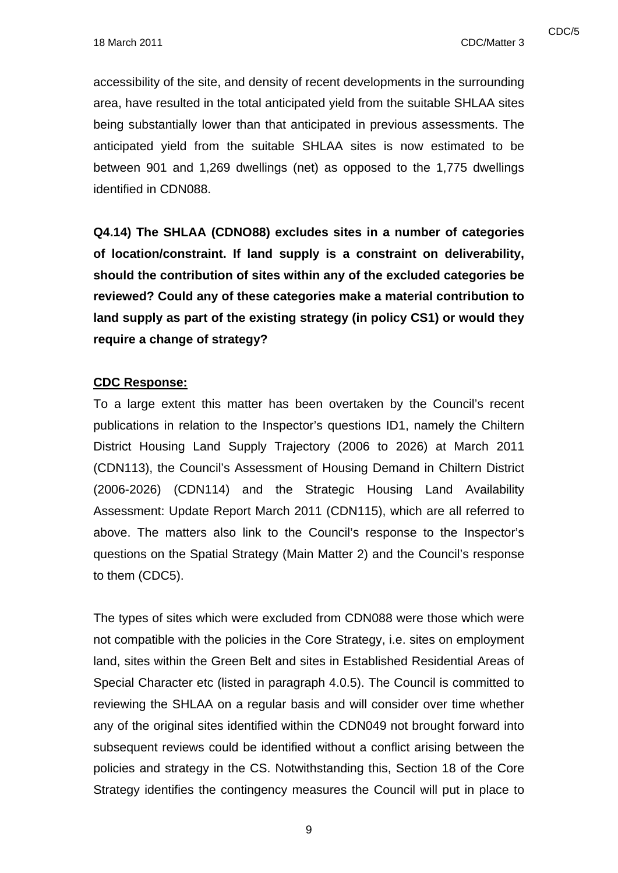accessibility of the site, and density of recent developments in the surrounding area, have resulted in the total anticipated yield from the suitable SHLAA sites being substantially lower than that anticipated in previous assessments. The anticipated yield from the suitable SHLAA sites is now estimated to be between 901 and 1,269 dwellings (net) as opposed to the 1,775 dwellings identified in CDN088.

**Q4.14) The SHLAA (CDNO88) excludes sites in a number of categories of location/constraint. If land supply is a constraint on deliverability, should the contribution of sites within any of the excluded categories be reviewed? Could any of these categories make a material contribution to land supply as part of the existing strategy (in policy CS1) or would they require a change of strategy?** 

#### **CDC Response:**

To a large extent this matter has been overtaken by the Council's recent publications in relation to the Inspector's questions ID1, namely the Chiltern District Housing Land Supply Trajectory (2006 to 2026) at March 2011 (CDN113), the Council's Assessment of Housing Demand in Chiltern District (2006-2026) (CDN114) and the Strategic Housing Land Availability Assessment: Update Report March 2011 (CDN115), which are all referred to above. The matters also link to the Council's response to the Inspector's questions on the Spatial Strategy (Main Matter 2) and the Council's response to them (CDC5).

The types of sites which were excluded from CDN088 were those which were not compatible with the policies in the Core Strategy, i.e. sites on employment land, sites within the Green Belt and sites in Established Residential Areas of Special Character etc (listed in paragraph 4.0.5). The Council is committed to reviewing the SHLAA on a regular basis and will consider over time whether any of the original sites identified within the CDN049 not brought forward into subsequent reviews could be identified without a conflict arising between the policies and strategy in the CS. Notwithstanding this, Section 18 of the Core Strategy identifies the contingency measures the Council will put in place to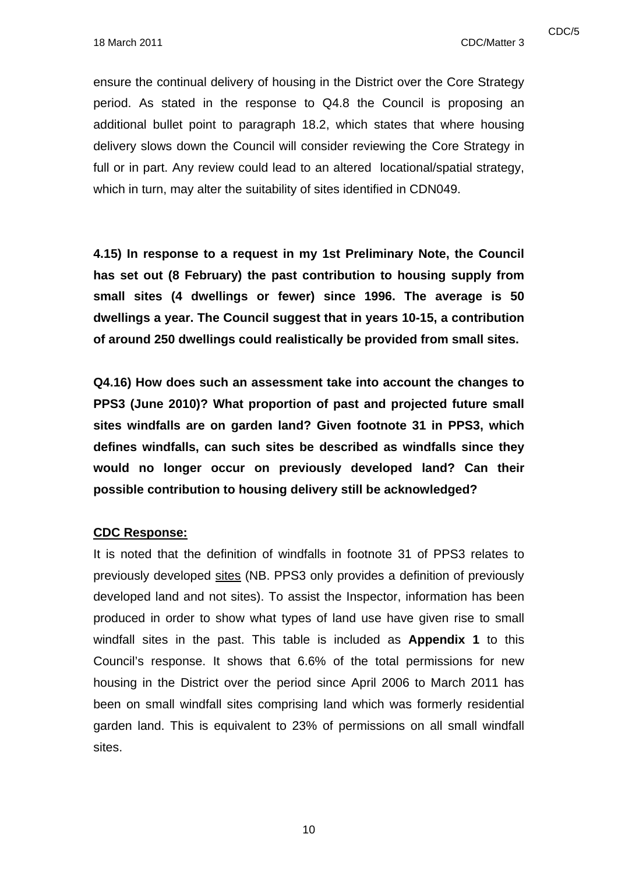ensure the continual delivery of housing in the District over the Core Strategy period. As stated in the response to Q4.8 the Council is proposing an additional bullet point to paragraph 18.2, which states that where housing delivery slows down the Council will consider reviewing the Core Strategy in full or in part. Any review could lead to an altered locational/spatial strategy, which in turn, may alter the suitability of sites identified in CDN049.

**4.15) In response to a request in my 1st Preliminary Note, the Council has set out (8 February) the past contribution to housing supply from small sites (4 dwellings or fewer) since 1996. The average is 50 dwellings a year. The Council suggest that in years 10-15, a contribution of around 250 dwellings could realistically be provided from small sites.** 

**Q4.16) How does such an assessment take into account the changes to PPS3 (June 2010)? What proportion of past and projected future small sites windfalls are on garden land? Given footnote 31 in PPS3, which defines windfalls, can such sites be described as windfalls since they would no longer occur on previously developed land? Can their possible contribution to housing delivery still be acknowledged?** 

#### **CDC Response:**

It is noted that the definition of windfalls in footnote 31 of PPS3 relates to previously developed sites (NB. PPS3 only provides a definition of previously developed land and not sites). To assist the Inspector, information has been produced in order to show what types of land use have given rise to small windfall sites in the past. This table is included as **Appendix 1** to this Council's response. It shows that 6.6% of the total permissions for new housing in the District over the period since April 2006 to March 2011 has been on small windfall sites comprising land which was formerly residential garden land. This is equivalent to 23% of permissions on all small windfall sites.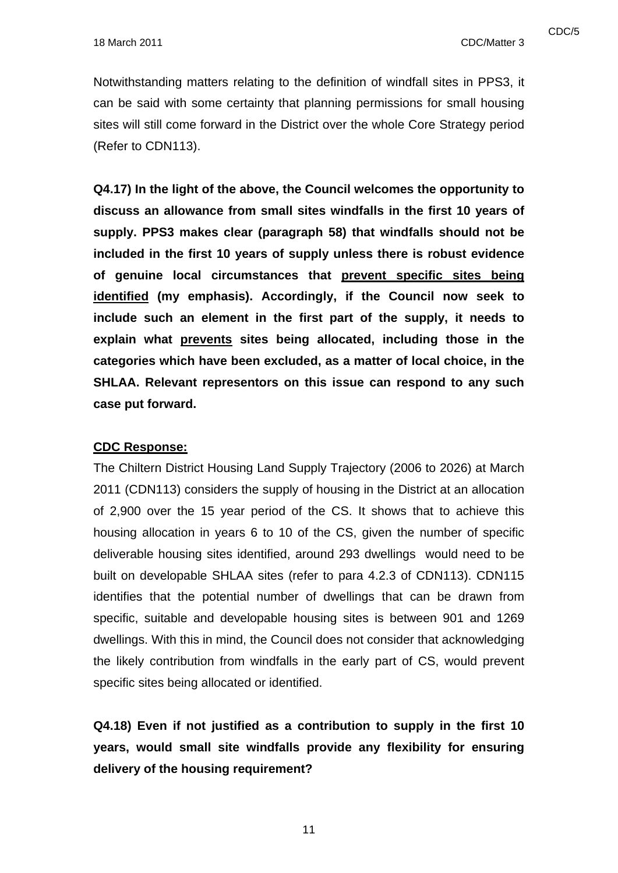Notwithstanding matters relating to the definition of windfall sites in PPS3, it can be said with some certainty that planning permissions for small housing sites will still come forward in the District over the whole Core Strategy period (Refer to CDN113).

**Q4.17) In the light of the above, the Council welcomes the opportunity to discuss an allowance from small sites windfalls in the first 10 years of supply. PPS3 makes clear (paragraph 58) that windfalls should not be included in the first 10 years of supply unless there is robust evidence of genuine local circumstances that prevent specific sites being identified (my emphasis). Accordingly, if the Council now seek to include such an element in the first part of the supply, it needs to explain what prevents sites being allocated, including those in the categories which have been excluded, as a matter of local choice, in the SHLAA. Relevant representors on this issue can respond to any such case put forward.** 

#### **CDC Response:**

The Chiltern District Housing Land Supply Trajectory (2006 to 2026) at March 2011 (CDN113) considers the supply of housing in the District at an allocation of 2,900 over the 15 year period of the CS. It shows that to achieve this housing allocation in years 6 to 10 of the CS, given the number of specific deliverable housing sites identified, around 293 dwellings would need to be built on developable SHLAA sites (refer to para 4.2.3 of CDN113). CDN115 identifies that the potential number of dwellings that can be drawn from specific, suitable and developable housing sites is between 901 and 1269 dwellings. With this in mind, the Council does not consider that acknowledging the likely contribution from windfalls in the early part of CS, would prevent specific sites being allocated or identified.

**Q4.18) Even if not justified as a contribution to supply in the first 10 years, would small site windfalls provide any flexibility for ensuring delivery of the housing requirement?**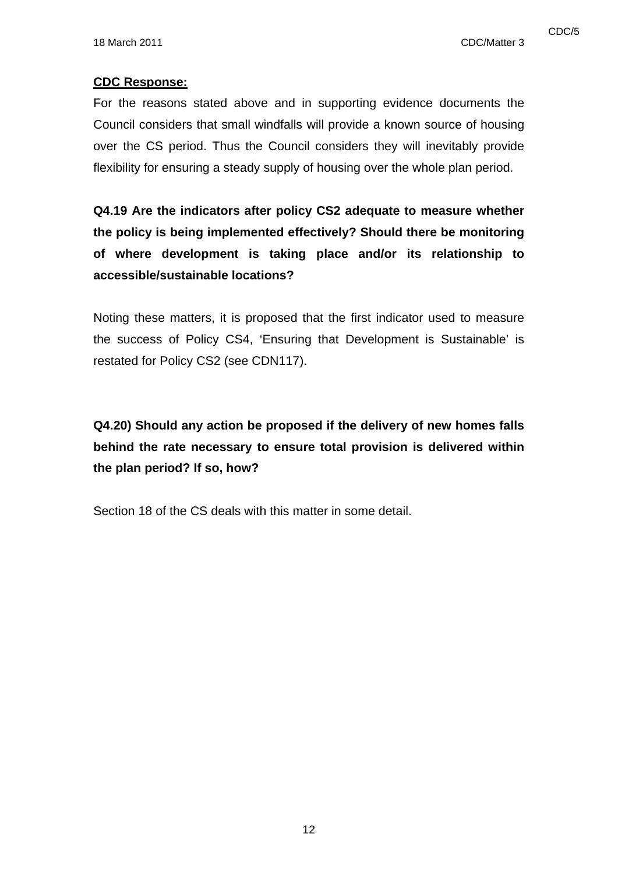#### **CDC Response:**

For the reasons stated above and in supporting evidence documents the Council considers that small windfalls will provide a known source of housing over the CS period. Thus the Council considers they will inevitably provide flexibility for ensuring a steady supply of housing over the whole plan period.

**Q4.19 Are the indicators after policy CS2 adequate to measure whether the policy is being implemented effectively? Should there be monitoring of where development is taking place and/or its relationship to accessible/sustainable locations?** 

Noting these matters, it is proposed that the first indicator used to measure the success of Policy CS4, 'Ensuring that Development is Sustainable' is restated for Policy CS2 (see CDN117).

**Q4.20) Should any action be proposed if the delivery of new homes falls behind the rate necessary to ensure total provision is delivered within the plan period? If so, how?** 

Section 18 of the CS deals with this matter in some detail.